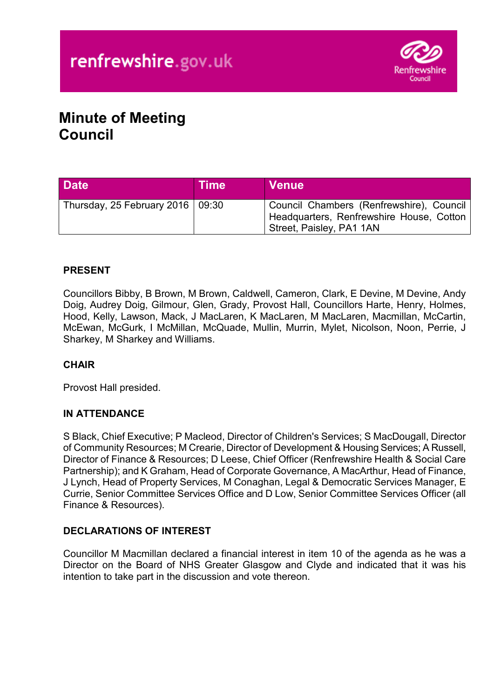

# **Minute of Meeting Council**

| <b>Date</b>                        | <b>Time</b> | <b>Venue</b>                                                                                                     |
|------------------------------------|-------------|------------------------------------------------------------------------------------------------------------------|
| Thursday, 25 February 2016   09:30 |             | Council Chambers (Renfrewshire), Council<br>Headquarters, Renfrewshire House, Cotton<br>Street, Paisley, PA1 1AN |

# **PRESENT**

Councillors Bibby, B Brown, M Brown, Caldwell, Cameron, Clark, E Devine, M Devine, Andy Doig, Audrey Doig, Gilmour, Glen, Grady, Provost Hall, Councillors Harte, Henry, Holmes, Hood, Kelly, Lawson, Mack, J MacLaren, K MacLaren, M MacLaren, Macmillan, McCartin, McEwan, McGurk, I McMillan, McQuade, Mullin, Murrin, Mylet, Nicolson, Noon, Perrie, J Sharkey, M Sharkey and Williams.

# **CHAIR**

Provost Hall presided.

# **IN ATTENDANCE**

S Black, Chief Executive; P Macleod, Director of Children's Services; S MacDougall, Director of Community Resources; M Crearie, Director of Development & Housing Services; A Russell, Director of Finance & Resources; D Leese, Chief Officer (Renfrewshire Health & Social Care Partnership); and K Graham, Head of Corporate Governance, A MacArthur, Head of Finance, J Lynch, Head of Property Services, M Conaghan, Legal & Democratic Services Manager, E Currie, Senior Committee Services Office and D Low, Senior Committee Services Officer (all Finance & Resources).

# **DECLARATIONS OF INTEREST**

Councillor M Macmillan declared a financial interest in item 10 of the agenda as he was a Director on the Board of NHS Greater Glasgow and Clyde and indicated that it was his intention to take part in the discussion and vote thereon.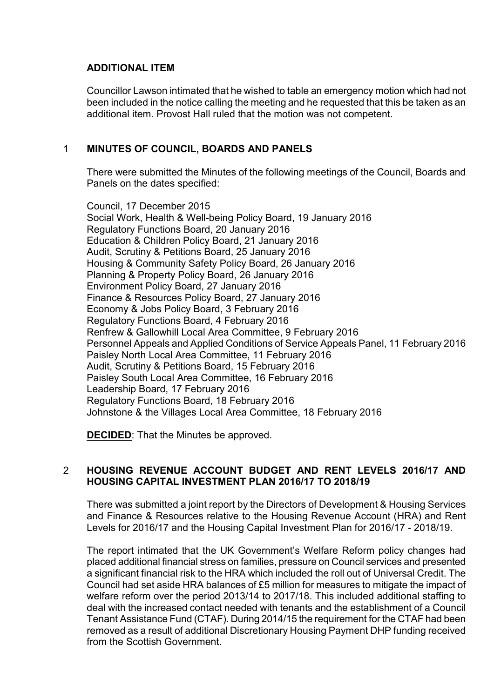# **ADDITIONAL ITEM**

Councillor Lawson intimated that he wished to table an emergency motion which had not been included in the notice calling the meeting and he requested that this be taken as an additional item. Provost Hall ruled that the motion was not competent.

# 1 **MINUTES OF COUNCIL, BOARDS AND PANELS**

There were submitted the Minutes of the following meetings of the Council, Boards and Panels on the dates specified:

Council, 17 December 2015 Social Work, Health & Well-being Policy Board, 19 January 2016 Regulatory Functions Board, 20 January 2016 Education & Children Policy Board, 21 January 2016 Audit, Scrutiny & Petitions Board, 25 January 2016 Housing & Community Safety Policy Board, 26 January 2016 Planning & Property Policy Board, 26 January 2016 Environment Policy Board, 27 January 2016 Finance & Resources Policy Board, 27 January 2016 Economy & Jobs Policy Board, 3 February 2016 Regulatory Functions Board, 4 February 2016 Renfrew & Gallowhill Local Area Committee, 9 February 2016 Personnel Appeals and Applied Conditions of Service Appeals Panel, 11 February 2016 Paisley North Local Area Committee, 11 February 2016 Audit, Scrutiny & Petitions Board, 15 February 2016 Paisley South Local Area Committee, 16 February 2016 Leadership Board, 17 February 2016 Regulatory Functions Board, 18 February 2016 Johnstone & the Villages Local Area Committee, 18 February 2016

**DECIDED**: That the Minutes be approved.

# 2 **HOUSING REVENUE ACCOUNT BUDGET AND RENT LEVELS 2016/17 AND HOUSING CAPITAL INVESTMENT PLAN 2016/17 TO 2018/19**

There was submitted a joint report by the Directors of Development & Housing Services and Finance & Resources relative to the Housing Revenue Account (HRA) and Rent Levels for 2016/17 and the Housing Capital Investment Plan for 2016/17 - 2018/19.

The report intimated that the UK Government's Welfare Reform policy changes had placed additional financial stress on families, pressure on Council services and presented a significant financial risk to the HRA which included the roll out of Universal Credit. The Council had set aside HRA balances of £5 million for measures to mitigate the impact of welfare reform over the period 2013/14 to 2017/18. This included additional staffing to deal with the increased contact needed with tenants and the establishment of a Council Tenant Assistance Fund (CTAF). During 2014/15 the requirement for the CTAF had been removed as a result of additional Discretionary Housing Payment DHP funding received from the Scottish Government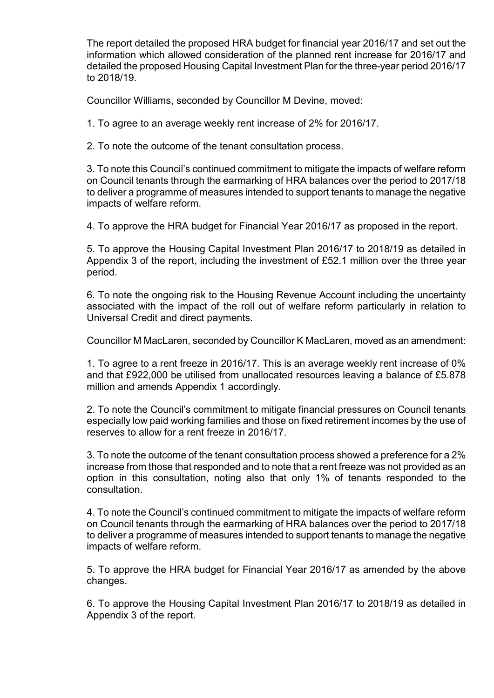The report detailed the proposed HRA budget for financial year 2016/17 and set out the information which allowed consideration of the planned rent increase for 2016/17 and detailed the proposed Housing Capital Investment Plan for the three-year period 2016/17 to 2018/19.

Councillor Williams, seconded by Councillor M Devine, moved:

1. To agree to an average weekly rent increase of 2% for 2016/17.

2. To note the outcome of the tenant consultation process.

3. To note this Council's continued commitment to mitigate the impacts of welfare reform on Council tenants through the earmarking of HRA balances over the period to 2017/18 to deliver a programme of measures intended to support tenants to manage the negative impacts of welfare reform.

4. To approve the HRA budget for Financial Year 2016/17 as proposed in the report.

5. To approve the Housing Capital Investment Plan 2016/17 to 2018/19 as detailed in Appendix 3 of the report, including the investment of £52.1 million over the three year period.

6. To note the ongoing risk to the Housing Revenue Account including the uncertainty associated with the impact of the roll out of welfare reform particularly in relation to Universal Credit and direct payments.

Councillor M MacLaren, seconded by Councillor K MacLaren, moved as an amendment:

1. To agree to a rent freeze in 2016/17. This is an average weekly rent increase of 0% and that £922,000 be utilised from unallocated resources leaving a balance of £5.878 million and amends Appendix 1 accordingly.

2. To note the Council's commitment to mitigate financial pressures on Council tenants especially low paid working families and those on fixed retirement incomes by the use of reserves to allow for a rent freeze in 2016/17.

3. To note the outcome of the tenant consultation process showed a preference for a 2% increase from those that responded and to note that a rent freeze was not provided as an option in this consultation, noting also that only 1% of tenants responded to the consultation.

4. To note the Council's continued commitment to mitigate the impacts of welfare reform on Council tenants through the earmarking of HRA balances over the period to 2017/18 to deliver a programme of measures intended to support tenants to manage the negative impacts of welfare reform.

5. To approve the HRA budget for Financial Year 2016/17 as amended by the above changes.

6. To approve the Housing Capital Investment Plan 2016/17 to 2018/19 as detailed in Appendix 3 of the report.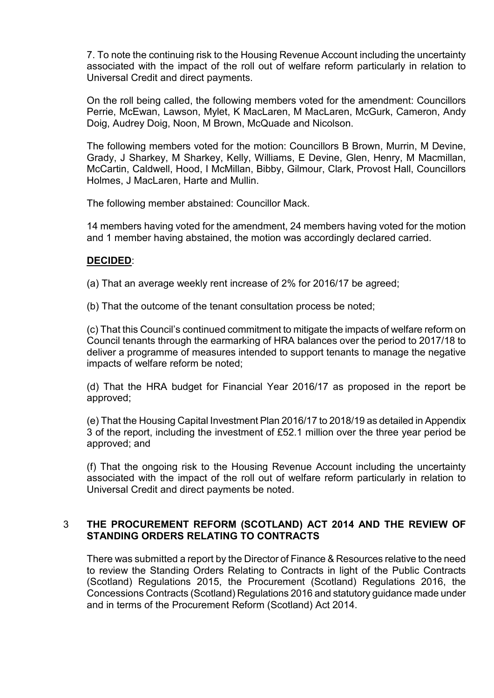7. To note the continuing risk to the Housing Revenue Account including the uncertainty associated with the impact of the roll out of welfare reform particularly in relation to Universal Credit and direct payments.

On the roll being called, the following members voted for the amendment: Councillors Perrie, McEwan, Lawson, Mylet, K MacLaren, M MacLaren, McGurk, Cameron, Andy Doig, Audrey Doig, Noon, M Brown, McQuade and Nicolson.

The following members voted for the motion: Councillors B Brown, Murrin, M Devine, Grady, J Sharkey, M Sharkey, Kelly, Williams, E Devine, Glen, Henry, M Macmillan, McCartin, Caldwell, Hood, I McMillan, Bibby, Gilmour, Clark, Provost Hall, Councillors Holmes, J MacLaren, Harte and Mullin.

The following member abstained: Councillor Mack.

14 members having voted for the amendment, 24 members having voted for the motion and 1 member having abstained, the motion was accordingly declared carried.

# **DECIDED**:

(a) That an average weekly rent increase of 2% for 2016/17 be agreed;

(b) That the outcome of the tenant consultation process be noted;

(c) That this Council's continued commitment to mitigate the impacts of welfare reform on Council tenants through the earmarking of HRA balances over the period to 2017/18 to deliver a programme of measures intended to support tenants to manage the negative impacts of welfare reform be noted;

(d) That the HRA budget for Financial Year 2016/17 as proposed in the report be approved;

(e) That the Housing Capital Investment Plan 2016/17 to 2018/19 as detailed in Appendix 3 of the report, including the investment of £52.1 million over the three year period be approved; and

(f) That the ongoing risk to the Housing Revenue Account including the uncertainty associated with the impact of the roll out of welfare reform particularly in relation to Universal Credit and direct payments be noted.

# 3 **THE PROCUREMENT REFORM (SCOTLAND) ACT 2014 AND THE REVIEW OF STANDING ORDERS RELATING TO CONTRACTS**

There was submitted a report by the Director of Finance & Resources relative to the need to review the Standing Orders Relating to Contracts in light of the Public Contracts (Scotland) Regulations 2015, the Procurement (Scotland) Regulations 2016, the Concessions Contracts (Scotland) Regulations 2016 and statutory guidance made under and in terms of the Procurement Reform (Scotland) Act 2014.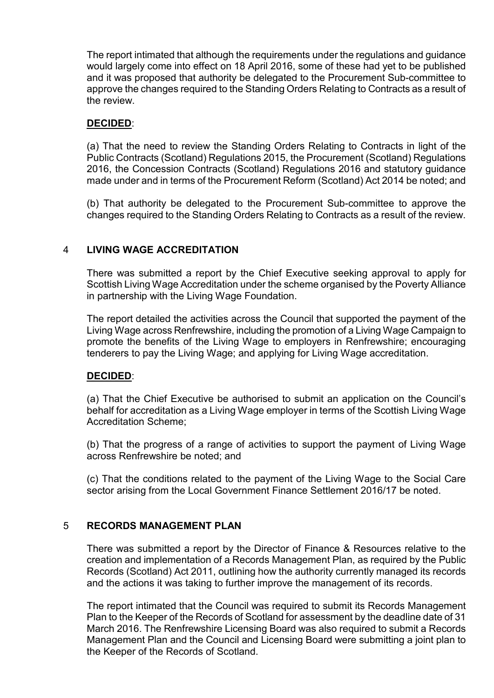The report intimated that although the requirements under the regulations and guidance would largely come into effect on 18 April 2016, some of these had yet to be published and it was proposed that authority be delegated to the Procurement Sub-committee to approve the changes required to the Standing Orders Relating to Contracts as a result of the review.

# **DECIDED**:

(a) That the need to review the Standing Orders Relating to Contracts in light of the Public Contracts (Scotland) Regulations 2015, the Procurement (Scotland) Regulations 2016, the Concession Contracts (Scotland) Regulations 2016 and statutory guidance made under and in terms of the Procurement Reform (Scotland) Act 2014 be noted; and

(b) That authority be delegated to the Procurement Sub-committee to approve the changes required to the Standing Orders Relating to Contracts as a result of the review.

# 4 **LIVING WAGE ACCREDITATION**

There was submitted a report by the Chief Executive seeking approval to apply for Scottish Living Wage Accreditation under the scheme organised by the Poverty Alliance in partnership with the Living Wage Foundation.

The report detailed the activities across the Council that supported the payment of the Living Wage across Renfrewshire, including the promotion of a Living Wage Campaign to promote the benefits of the Living Wage to employers in Renfrewshire; encouraging tenderers to pay the Living Wage; and applying for Living Wage accreditation.

# **DECIDED**:

(a) That the Chief Executive be authorised to submit an application on the Council's behalf for accreditation as a Living Wage employer in terms of the Scottish Living Wage Accreditation Scheme;

(b) That the progress of a range of activities to support the payment of Living Wage across Renfrewshire be noted; and

(c) That the conditions related to the payment of the Living Wage to the Social Care sector arising from the Local Government Finance Settlement 2016/17 be noted.

# 5 **RECORDS MANAGEMENT PLAN**

There was submitted a report by the Director of Finance & Resources relative to the creation and implementation of a Records Management Plan, as required by the Public Records (Scotland) Act 2011, outlining how the authority currently managed its records and the actions it was taking to further improve the management of its records.

The report intimated that the Council was required to submit its Records Management Plan to the Keeper of the Records of Scotland for assessment by the deadline date of 31 March 2016. The Renfrewshire Licensing Board was also required to submit a Records Management Plan and the Council and Licensing Board were submitting a joint plan to the Keeper of the Records of Scotland.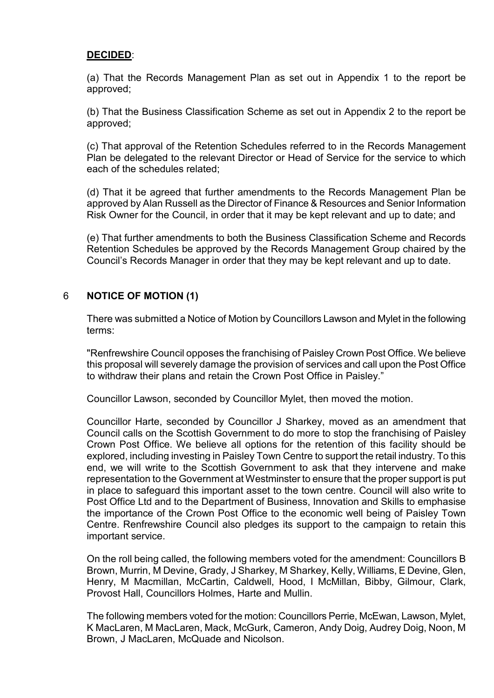#### **DECIDED**:

(a) That the Records Management Plan as set out in Appendix 1 to the report be approved;

(b) That the Business Classification Scheme as set out in Appendix 2 to the report be approved;

(c) That approval of the Retention Schedules referred to in the Records Management Plan be delegated to the relevant Director or Head of Service for the service to which each of the schedules related;

(d) That it be agreed that further amendments to the Records Management Plan be approved by Alan Russell as the Director of Finance & Resources and Senior Information Risk Owner for the Council, in order that it may be kept relevant and up to date; and

(e) That further amendments to both the Business Classification Scheme and Records Retention Schedules be approved by the Records Management Group chaired by the Council's Records Manager in order that they may be kept relevant and up to date.

# 6 **NOTICE OF MOTION (1)**

There was submitted a Notice of Motion by Councillors Lawson and Mylet in the following terms:

"Renfrewshire Council opposes the franchising of Paisley Crown Post Office. We believe this proposal will severely damage the provision of services and call upon the Post Office to withdraw their plans and retain the Crown Post Office in Paisley."

Councillor Lawson, seconded by Councillor Mylet, then moved the motion.

Councillor Harte, seconded by Councillor J Sharkey, moved as an amendment that Council calls on the Scottish Government to do more to stop the franchising of Paisley Crown Post Office. We believe all options for the retention of this facility should be explored, including investing in Paisley Town Centre to support the retail industry. To this end, we will write to the Scottish Government to ask that they intervene and make representation to the Government at Westminster to ensure that the proper support is put in place to safeguard this important asset to the town centre. Council will also write to Post Office Ltd and to the Department of Business, Innovation and Skills to emphasise the importance of the Crown Post Office to the economic well being of Paisley Town Centre. Renfrewshire Council also pledges its support to the campaign to retain this important service.

On the roll being called, the following members voted for the amendment: Councillors B Brown, Murrin, M Devine, Grady, J Sharkey, M Sharkey, Kelly, Williams, E Devine, Glen, Henry, M Macmillan, McCartin, Caldwell, Hood, I McMillan, Bibby, Gilmour, Clark, Provost Hall, Councillors Holmes, Harte and Mullin.

The following members voted for the motion: Councillors Perrie, McEwan, Lawson, Mylet, K MacLaren, M MacLaren, Mack, McGurk, Cameron, Andy Doig, Audrey Doig, Noon, M Brown, J MacLaren, McQuade and Nicolson.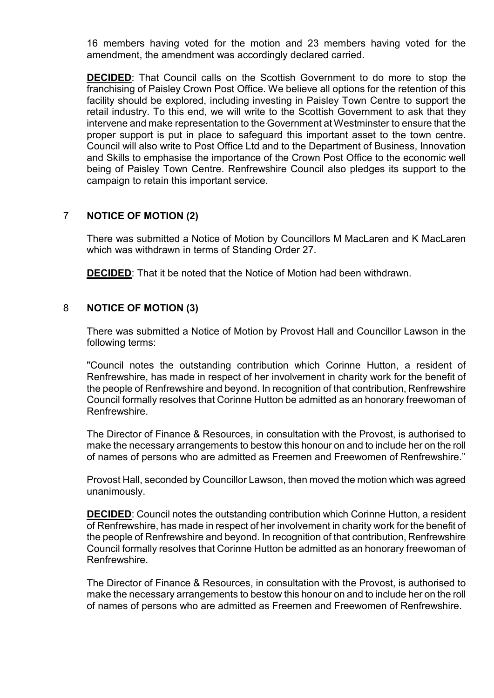16 members having voted for the motion and 23 members having voted for the amendment, the amendment was accordingly declared carried.

**DECIDED:** That Council calls on the Scottish Government to do more to stop the franchising of Paisley Crown Post Office. We believe all options for the retention of this facility should be explored, including investing in Paisley Town Centre to support the retail industry. To this end, we will write to the Scottish Government to ask that they intervene and make representation to the Government at Westminster to ensure that the proper support is put in place to safeguard this important asset to the town centre. Council will also write to Post Office Ltd and to the Department of Business, Innovation and Skills to emphasise the importance of the Crown Post Office to the economic well being of Paisley Town Centre. Renfrewshire Council also pledges its support to the campaign to retain this important service.

# 7 **NOTICE OF MOTION (2)**

There was submitted a Notice of Motion by Councillors M MacLaren and K MacLaren which was withdrawn in terms of Standing Order 27.

**DECIDED**: That it be noted that the Notice of Motion had been withdrawn.

# 8 **NOTICE OF MOTION (3)**

There was submitted a Notice of Motion by Provost Hall and Councillor Lawson in the following terms:

"Council notes the outstanding contribution which Corinne Hutton, a resident of Renfrewshire, has made in respect of her involvement in charity work for the benefit of the people of Renfrewshire and beyond. In recognition of that contribution, Renfrewshire Council formally resolves that Corinne Hutton be admitted as an honorary freewoman of Renfrewshire.

The Director of Finance & Resources, in consultation with the Provost, is authorised to make the necessary arrangements to bestow this honour on and to include her on the roll of names of persons who are admitted as Freemen and Freewomen of Renfrewshire."

Provost Hall, seconded by Councillor Lawson, then moved the motion which was agreed unanimously.

**DECIDED:** Council notes the outstanding contribution which Corinne Hutton, a resident of Renfrewshire, has made in respect of her involvement in charity work for the benefit of the people of Renfrewshire and beyond. In recognition of that contribution, Renfrewshire Council formally resolves that Corinne Hutton be admitted as an honorary freewoman of Renfrewshire.

The Director of Finance & Resources, in consultation with the Provost, is authorised to make the necessary arrangements to bestow this honour on and to include her on the roll of names of persons who are admitted as Freemen and Freewomen of Renfrewshire.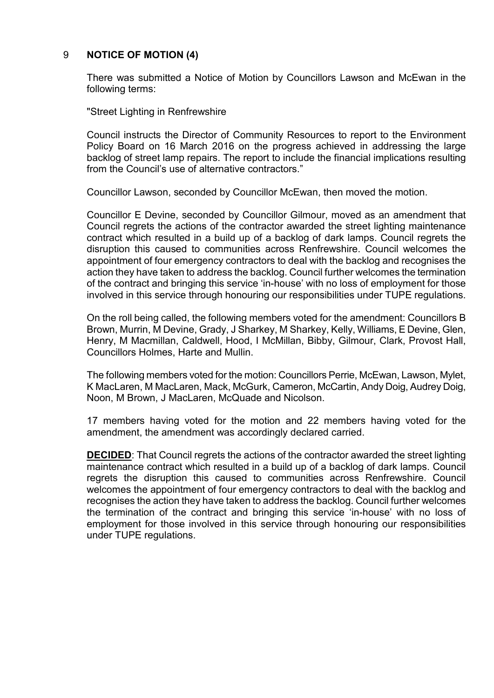# 9 **NOTICE OF MOTION (4)**

There was submitted a Notice of Motion by Councillors Lawson and McEwan in the following terms:

"Street Lighting in Renfrewshire

Council instructs the Director of Community Resources to report to the Environment Policy Board on 16 March 2016 on the progress achieved in addressing the large backlog of street lamp repairs. The report to include the financial implications resulting from the Council's use of alternative contractors."

Councillor Lawson, seconded by Councillor McEwan, then moved the motion.

Councillor E Devine, seconded by Councillor Gilmour, moved as an amendment that Council regrets the actions of the contractor awarded the street lighting maintenance contract which resulted in a build up of a backlog of dark lamps. Council regrets the disruption this caused to communities across Renfrewshire. Council welcomes the appointment of four emergency contractors to deal with the backlog and recognises the action they have taken to address the backlog. Council further welcomes the termination of the contract and bringing this service 'in-house' with no loss of employment for those involved in this service through honouring our responsibilities under TUPE regulations.

On the roll being called, the following members voted for the amendment: Councillors B Brown, Murrin, M Devine, Grady, J Sharkey, M Sharkey, Kelly, Williams, E Devine, Glen, Henry, M Macmillan, Caldwell, Hood, I McMillan, Bibby, Gilmour, Clark, Provost Hall, Councillors Holmes, Harte and Mullin.

The following members voted for the motion: Councillors Perrie, McEwan, Lawson, Mylet, K MacLaren, M MacLaren, Mack, McGurk, Cameron, McCartin, Andy Doig, Audrey Doig, Noon, M Brown, J MacLaren, McQuade and Nicolson.

17 members having voted for the motion and 22 members having voted for the amendment, the amendment was accordingly declared carried.

**DECIDED**: That Council regrets the actions of the contractor awarded the street lighting maintenance contract which resulted in a build up of a backlog of dark lamps. Council regrets the disruption this caused to communities across Renfrewshire. Council welcomes the appointment of four emergency contractors to deal with the backlog and recognises the action they have taken to address the backlog. Council further welcomes the termination of the contract and bringing this service 'in-house' with no loss of employment for those involved in this service through honouring our responsibilities under TUPE regulations.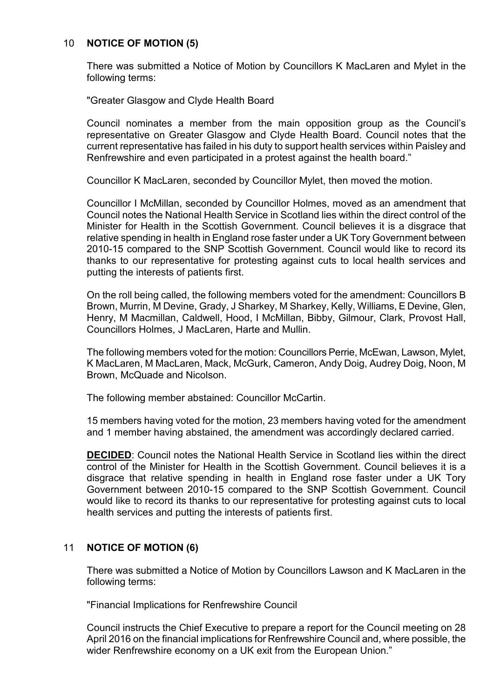#### 10 **NOTICE OF MOTION (5)**

There was submitted a Notice of Motion by Councillors K MacLaren and Mylet in the following terms:

"Greater Glasgow and Clyde Health Board

Council nominates a member from the main opposition group as the Council's representative on Greater Glasgow and Clyde Health Board. Council notes that the current representative has failed in his duty to support health services within Paisley and Renfrewshire and even participated in a protest against the health board."

Councillor K MacLaren, seconded by Councillor Mylet, then moved the motion.

Councillor I McMillan, seconded by Councillor Holmes, moved as an amendment that Council notes the National Health Service in Scotland lies within the direct control of the Minister for Health in the Scottish Government. Council believes it is a disgrace that relative spending in health in England rose faster under a UK Tory Government between 2010-15 compared to the SNP Scottish Government. Council would like to record its thanks to our representative for protesting against cuts to local health services and putting the interests of patients first.

On the roll being called, the following members voted for the amendment: Councillors B Brown, Murrin, M Devine, Grady, J Sharkey, M Sharkey, Kelly, Williams, E Devine, Glen, Henry, M Macmillan, Caldwell, Hood, I McMillan, Bibby, Gilmour, Clark, Provost Hall, Councillors Holmes, J MacLaren, Harte and Mullin.

The following members voted for the motion: Councillors Perrie, McEwan, Lawson, Mylet, K MacLaren, M MacLaren, Mack, McGurk, Cameron, Andy Doig, Audrey Doig, Noon, M Brown, McQuade and Nicolson.

The following member abstained: Councillor McCartin.

15 members having voted for the motion, 23 members having voted for the amendment and 1 member having abstained, the amendment was accordingly declared carried.

**DECIDED:** Council notes the National Health Service in Scotland lies within the direct control of the Minister for Health in the Scottish Government. Council believes it is a disgrace that relative spending in health in England rose faster under a UK Tory Government between 2010-15 compared to the SNP Scottish Government. Council would like to record its thanks to our representative for protesting against cuts to local health services and putting the interests of patients first.

# 11 **NOTICE OF MOTION (6)**

There was submitted a Notice of Motion by Councillors Lawson and K MacLaren in the following terms:

"Financial Implications for Renfrewshire Council

Council instructs the Chief Executive to prepare a report for the Council meeting on 28 April 2016 on the financial implications for Renfrewshire Council and, where possible, the wider Renfrewshire economy on a UK exit from the European Union."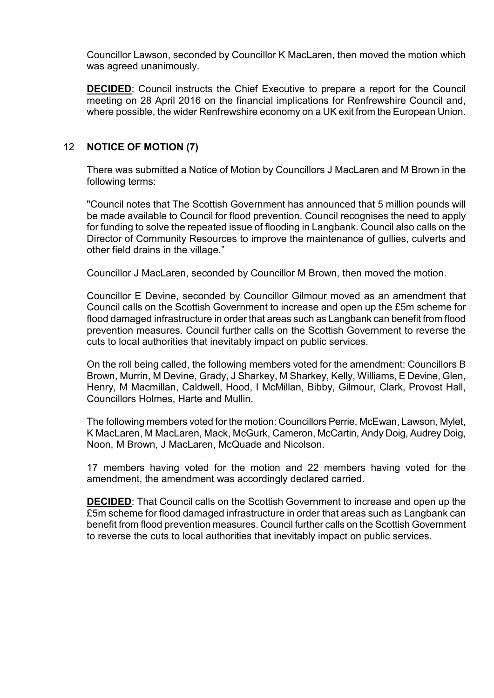Councillor Lawson, seconded by Councillor K MacLaren, then moved the motion which was agreed unanimously.

**DECIDED**: Council instructs the Chief Executive to prepare a report for the Council meeting on 28 April 2016 on the financial implications for Renfrewshire Council and, where possible, the wider Renfrewshire economy on a UK exit from the European Union.

# 12 **NOTICE OF MOTION (7)**

There was submitted a Notice of Motion by Councillors J MacLaren and M Brown in the following terms:

"Council notes that The Scottish Government has announced that 5 million pounds will be made available to Council for flood prevention. Council recognises the need to apply for funding to solve the repeated issue of flooding in Langbank. Council also calls on the Director of Community Resources to improve the maintenance of gullies, culverts and other field drains in the village."

Councillor J MacLaren, seconded by Councillor M Brown, then moved the motion.

Councillor E Devine, seconded by Councillor Gilmour moved as an amendment that Council calls on the Scottish Government to increase and open up the £5m scheme for flood damaged infrastructure in order that areas such as Langbank can benefit from flood prevention measures. Council further calls on the Scottish Government to reverse the cuts to local authorities that inevitably impact on public services.

On the roll being called, the following members voted for the amendment: Councillors B Brown, Murrin, M Devine, Grady, J Sharkey, M Sharkey, Kelly, Williams, E Devine, Glen, Henry, M Macmillan, Caldwell, Hood, I McMillan, Bibby, Gilmour, Clark, Provost Hall, Councillors Holmes, Harte and Mullin.

The following members voted for the motion: Councillors Perrie, McEwan, Lawson, Mylet, K MacLaren, M MacLaren, Mack, McGurk, Cameron, McCartin, Andy Doig, Audrey Doig, Noon, M Brown, J MacLaren, McQuade and Nicolson.

17 members having voted for the motion and 22 members having voted for the amendment, the amendment was accordingly declared carried.

**DECIDED**: That Council calls on the Scottish Government to increase and open up the £5m scheme for flood damaged infrastructure in order that areas such as Langbank can benefit from flood prevention measures. Council further calls on the Scottish Government to reverse the cuts to local authorities that inevitably impact on public services.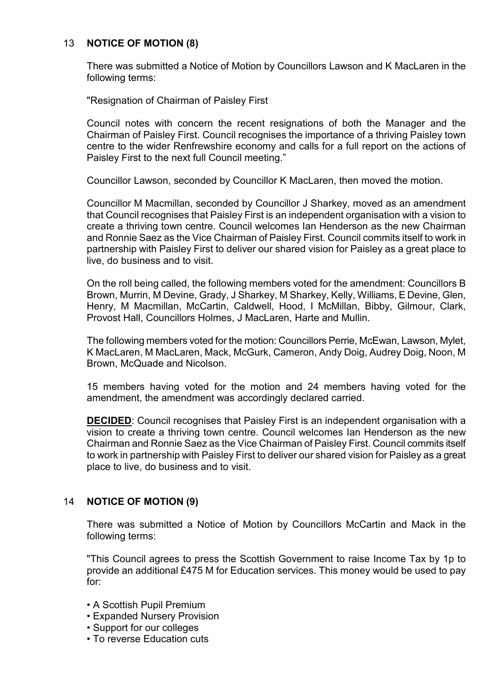# 13 **NOTICE OF MOTION (8)**

There was submitted a Notice of Motion by Councillors Lawson and K MacLaren in the following terms:

"Resignation of Chairman of Paisley First

Council notes with concern the recent resignations of both the Manager and the Chairman of Paisley First. Council recognises the importance of a thriving Paisley town centre to the wider Renfrewshire economy and calls for a full report on the actions of Paisley First to the next full Council meeting."

Councillor Lawson, seconded by Councillor K MacLaren, then moved the motion.

Councillor M Macmillan, seconded by Councillor J Sharkey, moved as an amendment that Council recognises that Paisley First is an independent organisation with a vision to create a thriving town centre. Council welcomes Ian Henderson as the new Chairman and Ronnie Saez as the Vice Chairman of Paisley First. Council commits itself to work in partnership with Paisley First to deliver our shared vision for Paisley as a great place to live, do business and to visit.

On the roll being called, the following members voted for the amendment: Councillors B Brown, Murrin, M Devine, Grady, J Sharkey, M Sharkey, Kelly, Williams, E Devine, Glen, Henry, M Macmillan, McCartin, Caldwell, Hood, I McMillan, Bibby, Gilmour, Clark, Provost Hall, Councillors Holmes, J MacLaren, Harte and Mullin.

The following members voted for the motion: Councillors Perrie, McEwan, Lawson, Mylet, K MacLaren, M MacLaren, Mack, McGurk, Cameron, Andy Doig, Audrey Doig, Noon, M Brown, McQuade and Nicolson.

15 members having voted for the motion and 24 members having voted for the amendment, the amendment was accordingly declared carried.

**DECIDED:** Council recognises that Paisley First is an independent organisation with a vision to create a thriving town centre. Council welcomes Ian Henderson as the new Chairman and Ronnie Saez as the Vice Chairman of Paisley First. Council commits itself to work in partnership with Paisley First to deliver our shared vision for Paisley as a great place to live, do business and to visit.

# 14 **NOTICE OF MOTION (9)**

There was submitted a Notice of Motion by Councillors McCartin and Mack in the following terms:

"This Council agrees to press the Scottish Government to raise Income Tax by 1p to provide an additional £475 M for Education services. This money would be used to pay for:

- A Scottish Pupil Premium
- Expanded Nursery Provision
- Support for our colleges
- To reverse Education cuts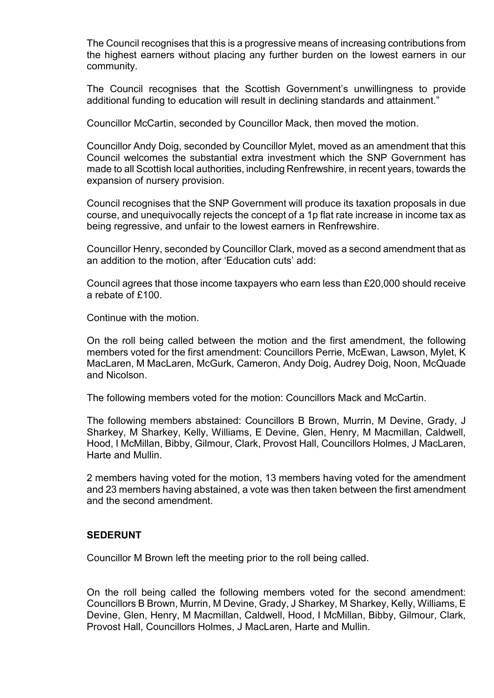The Council recognises that this is a progressive means of increasing contributions from the highest earners without placing any further burden on the lowest earners in our community.

The Council recognises that the Scottish Government's unwillingness to provide additional funding to education will result in declining standards and attainment."

Councillor McCartin, seconded by Councillor Mack, then moved the motion.

Councillor Andy Doig, seconded by Councillor Mylet, moved as an amendment that this Council welcomes the substantial extra investment which the SNP Government has made to all Scottish local authorities, including Renfrewshire, in recent years, towards the expansion of nursery provision.

Council recognises that the SNP Government will produce its taxation proposals in due course, and unequivocally rejects the concept of a 1p flat rate increase in income tax as being regressive, and unfair to the lowest earners in Renfrewshire.

Councillor Henry, seconded by Councillor Clark, moved as a second amendment that as an addition to the motion, after 'Education cuts' add:

Council agrees that those income taxpayers who earn less than £20,000 should receive a rebate of £100.

Continue with the motion.

On the roll being called between the motion and the first amendment, the following members voted for the first amendment: Councillors Perrie, McEwan, Lawson, Mylet, K MacLaren, M MacLaren, McGurk, Cameron, Andy Doig, Audrey Doig, Noon, McQuade and Nicolson.

The following members voted for the motion: Councillors Mack and McCartin.

The following members abstained: Councillors B Brown, Murrin, M Devine, Grady, J Sharkey, M Sharkey, Kelly, Williams, E Devine, Glen, Henry, M Macmillan, Caldwell, Hood, I McMillan, Bibby, Gilmour, Clark, Provost Hall, Councillors Holmes, J MacLaren, Harte and Mullin.

2 members having voted for the motion, 13 members having voted for the amendment and 23 members having abstained, a vote was then taken between the first amendment and the second amendment.

# **SEDERUNT**

Councillor M Brown left the meeting prior to the roll being called.

On the roll being called the following members voted for the second amendment: Councillors B Brown, Murrin, M Devine, Grady, J Sharkey, M Sharkey, Kelly, Williams, E Devine, Glen, Henry, M Macmillan, Caldwell, Hood, I McMillan, Bibby, Gilmour, Clark, Provost Hall, Councillors Holmes, J MacLaren, Harte and Mullin.